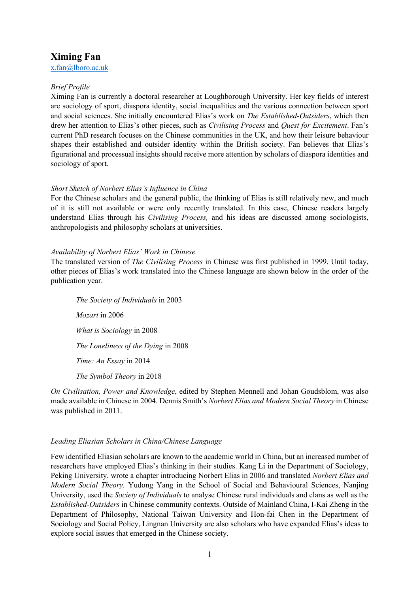# **Ximing Fan**

x.fan@lboro.ac.uk

## *Brief Profile*

Ximing Fan is currently a doctoral researcher at Loughborough University. Her key fields of interest are sociology of sport, diaspora identity, social inequalities and the various connection between sport and social sciences. She initially encountered Elias's work on *The Established-Outsiders*, which then drew her attention to Elias's other pieces, such as *Civilising Process* and *Quest for Excitement*. Fan's current PhD research focuses on the Chinese communities in the UK, and how their leisure behaviour shapes their established and outsider identity within the British society. Fan believes that Elias's figurational and processual insights should receive more attention by scholars of diaspora identities and sociology of sport.

### *Short Sketch of Norbert Elias's Influence in China*

For the Chinese scholars and the general public, the thinking of Elias is still relatively new, and much of it is still not available or were only recently translated. In this case, Chinese readers largely understand Elias through his *Civilising Process,* and his ideas are discussed among sociologists, anthropologists and philosophy scholars at universities.

#### *Availability of Norbert Elias' Work in Chinese*

The translated version of *The Civilising Process* in Chinese was first published in 1999. Until today, other pieces of Elias's work translated into the Chinese language are shown below in the order of the publication year.

*The Society of Individuals* in 2003 *Mozart* in 2006 *What is Sociology* in 2008 *The Loneliness of the Dying* in 2008 *Time: An Essay* in 2014 *The Symbol Theory* in 2018

*On Civilisation, Power and Knowledge*, edited by Stephen Mennell and Johan Goudsblom, was also made available in Chinese in 2004. Dennis Smith's *Norbert Elias and Modern Social Theory* in Chinese was published in 2011.

### *Leading Eliasian Scholars in China/Chinese Language*

Few identified Eliasian scholars are known to the academic world in China, but an increased number of researchers have employed Elias's thinking in their studies. Kang Li in the Department of Sociology, Peking University, wrote a chapter introducing Norbert Elias in 2006 and translated *Norbert Elias and Modern Social Theory.* Yudong Yang in the School of Social and Behavioural Sciences, Nanjing University, used the *Society of Individuals* to analyse Chinese rural individuals and clans as well as the *Established-Outsiders* in Chinese community contexts. Outside of Mainland China, I-Kai Zheng in the Department of Philosophy, National Taiwan University and Hon-fai Chen in the Department of Sociology and Social Policy, Lingnan University are also scholars who have expanded Elias's ideas to explore social issues that emerged in the Chinese society.